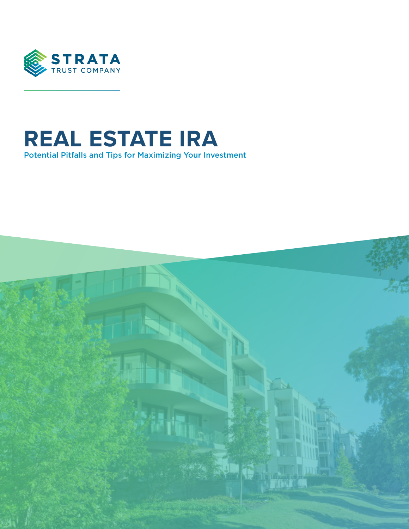

# **REAL ESTATE IRA** Potential Pitfalls and Tips for Maximizing Your Investment

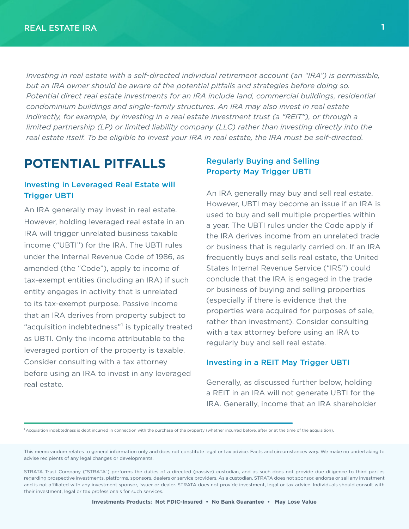*Investing in real estate with a self-directed individual retirement account (an "IRA") is permissible, but an IRA owner should be aware of the potential pitfalls and strategies before doing so. Potential direct real estate investments for an IRA include land, commercial buildings, residential condominium buildings and single-family structures. An IRA may also invest in real estate indirectly, for example, by investing in a real estate investment trust (a "REIT"), or through a limited partnership (LP) or limited liability company (LLC) rather than investing directly into the real estate itself. To be eligible to invest your IRA in real estate, the IRA must be self-directed.*

## **POTENTIAL PITFALLS**

### Investing in Leveraged Real Estate will Trigger UBTI

 An IRA generally may invest in real estate. However, holding leveraged real estate in an IRA will trigger unrelated business taxable income ("UBTI") for the IRA. The UBTI rules under the Internal Revenue Code of 1986, as amended (the "Code"), apply to income of tax-exempt entities (including an IRA) if such entity engages in activity that is unrelated to its tax-exempt purpose. Passive income that an IRA derives from property subject to "acquisition indebtedness"<sup>1</sup> is typically treated as UBTI. Only the income attributable to the leveraged portion of the property is taxable. Consider consulting with a tax attorney before using an IRA to invest in any leveraged real estate.

### Regularly Buying and Selling Property May Trigger UBTI

An IRA generally may buy and sell real estate. However, UBTI may become an issue if an IRA is used to buy and sell multiple properties within a year. The UBTI rules under the Code apply if the IRA derives income from an unrelated trade or business that is regularly carried on. If an IRA frequently buys and sells real estate, the United States Internal Revenue Service ("IRS") could conclude that the IRA is engaged in the trade or business of buying and selling properties (especially if there is evidence that the properties were acquired for purposes of sale, rather than investment). Consider consulting with a tax attorney before using an IRA to regularly buy and sell real estate.

#### Investing in a REIT May Trigger UBTI

Generally, as discussed further below, holding a REIT in an IRA will not generate UBTI for the IRA. Generally, income that an IRA shareholder

<sup>1</sup> Acquisition indebtedness is debt incurred in connection with the purchase of the property (whether incurred before, after or at the time of the acquisition).

This memorandum relates to general information only and does not constitute legal or tax advice. Facts and circumstances vary. We make no undertaking to advise recipients of any legal changes or developments.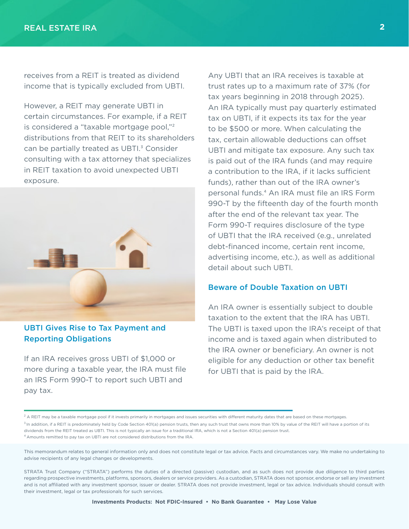receives from a REIT is treated as dividend income that is typically excluded from UBTI.

However, a REIT may generate UBTI in certain circumstances. For example, if a REIT is considered a "taxable mortgage pool,"² distributions from that REIT to its shareholders can be partially treated as UBTI.<sup>3</sup> Consider consulting with a tax attorney that specializes in REIT taxation to avoid unexpected UBTI exposure.



UBTI Gives Rise to Tax Payment and Reporting Obligations

If an IRA receives gross UBTI of \$1,000 or more during a taxable year, the IRA must file an IRS Form 990-T to report such UBTI and pay tax.

Any UBTI that an IRA receives is taxable at trust rates up to a maximum rate of 37% (for tax years beginning in 2018 through 2025). An IRA typically must pay quarterly estimated tax on UBTI, if it expects its tax for the year to be \$500 or more. When calculating the tax, certain allowable deductions can offset UBTI and mitigate tax exposure. Any such tax is paid out of the IRA funds (and may require a contribution to the IRA, if it lacks sufficient funds), rather than out of the IRA owner's personal funds.<sup>4</sup> An IRA must file an IRS Form 990-T by the fifteenth day of the fourth month after the end of the relevant tax year. The Form 990-T requires disclosure of the type of UBTI that the IRA received (e.g., unrelated debt-financed income, certain rent income, advertising income, etc.), as well as additional detail about such UBTI.

#### Beware of Double Taxation on UBTI

An IRA owner is essentially subject to double taxation to the extent that the IRA has UBTI. The UBTI is taxed upon the IRA's receipt of that income and is taxed again when distributed to the IRA owner or beneficiary. An owner is not eligible for any deduction or other tax benefit for UBTI that is paid by the IRA.

4 Amounts remitted to pay tax on UBTI are not considered distributions from the IRA.

This memorandum relates to general information only and does not constitute legal or tax advice. Facts and circumstances vary. We make no undertaking to advise recipients of any legal changes or developments.

<sup>&</sup>lt;sup>2</sup> A REIT may be a taxable mortgage pool if it invests primarily in mortgages and issues securities with different maturity dates that are based on these mortgages.

<sup>&</sup>lt;sup>3</sup> In addition, if a REIT is predominately held by Code Section 401(a) pension trusts, then any such trust that owns more than 10% by value of the REIT will have a portion of its dividends from the REIT treated as UBTI. This is not typically an issue for a traditional IRA, which is not a Section 401(a) pension trust.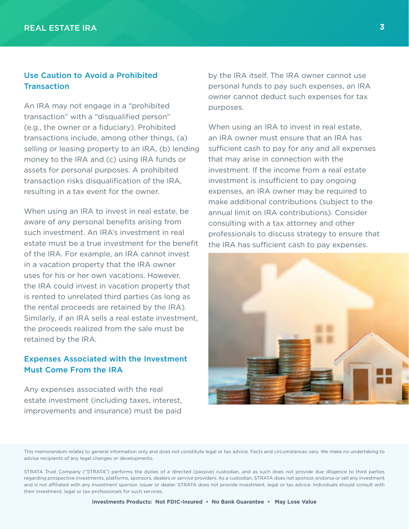### Use Caution to Avoid a Prohibited **Transaction**

An IRA may not engage in a "prohibited transaction" with a "disqualified person" (e.g., the owner or a fiduciary). Prohibited transactions include, among other things, (a) selling or leasing property to an IRA, (b) lending money to the IRA and (c) using IRA funds or assets for personal purposes. A prohibited transaction risks disqualification of the IRA, resulting in a tax event for the owner.

When using an IRA to invest in real estate, be aware of any personal benefits arising from such investment. An IRA's investment in real estate must be a true investment for the benefit of the IRA. For example, an IRA cannot invest in a vacation property that the IRA owner uses for his or her own vacations. However, the IRA could invest in vacation property that is rented to unrelated third parties (as long as the rental proceeds are retained by the IRA). Similarly, if an IRA sells a real estate investment, the proceeds realized from the sale must be retained by the IRA.

### Expenses Associated with the Investment Must Come From the IRA

Any expenses associated with the real estate investment (including taxes, interest, improvements and insurance) must be paid by the IRA itself. The IRA owner cannot use personal funds to pay such expenses, an IRA owner cannot deduct such expenses for tax purposes.

When using an IRA to invest in real estate, an IRA owner must ensure that an IRA has sufficient cash to pay for any and all expenses that may arise in connection with the investment. If the income from a real estate investment is insufficient to pay ongoing expenses, an IRA owner may be required to make additional contributions (subject to the annual limit on IRA contributions). Consider consulting with a tax attorney and other professionals to discuss strategy to ensure that the IRA has sufficient cash to pay expenses.



This memorandum relates to general information only and does not constitute legal or tax advice. Facts and circumstances vary. We make no undertaking to advise recipients of any legal changes or developments.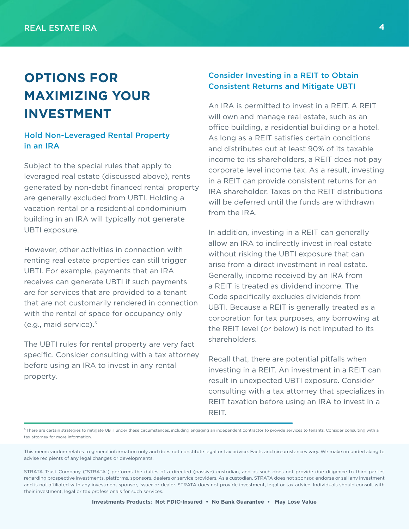# **OPTIONS FOR MAXIMIZING YOUR INVESTMENT**

### Hold Non-Leveraged Rental Property in an IRA

Subject to the special rules that apply to leveraged real estate (discussed above), rents generated by non-debt financed rental property are generally excluded from UBTI. Holding a vacation rental or a residential condominium building in an IRA will typically not generate UBTI exposure.

However, other activities in connection with renting real estate properties can still trigger UBTI. For example, payments that an IRA receives can generate UBTI if such payments are for services that are provided to a tenant that are not customarily rendered in connection with the rental of space for occupancy only (e.g., maid service).<sup>5</sup>

The UBTI rules for rental property are very fact specific. Consider consulting with a tax attorney before using an IRA to invest in any rental property.

### Consider Investing in a REIT to Obtain Consistent Returns and Mitigate UBTI

An IRA is permitted to invest in a REIT. A REIT will own and manage real estate, such as an office building, a residential building or a hotel. As long as a REIT satisfies certain conditions and distributes out at least 90% of its taxable income to its shareholders, a REIT does not pay corporate level income tax. As a result, investing in a REIT can provide consistent returns for an IRA shareholder. Taxes on the REIT distributions will be deferred until the funds are withdrawn from the IRA.

In addition, investing in a REIT can generally allow an IRA to indirectly invest in real estate without risking the UBTI exposure that can arise from a direct investment in real estate. Generally, income received by an IRA from a REIT is treated as dividend income. The Code specifically excludes dividends from UBTI. Because a REIT is generally treated as a corporation for tax purposes, any borrowing at the REIT level (or below) is not imputed to its shareholders.

Recall that, there are potential pitfalls when investing in a REIT. An investment in a REIT can result in unexpected UBTI exposure. Consider consulting with a tax attorney that specializes in REIT taxation before using an IRA to invest in a REIT.

<sup>5</sup> There are certain strategies to mitigate UBTI under these circumstances, including engaging an independent contractor to provide services to tenants. Consider consulting with a tax attorney for more information.

This memorandum relates to general information only and does not constitute legal or tax advice. Facts and circumstances vary. We make no undertaking to advise recipients of any legal changes or developments.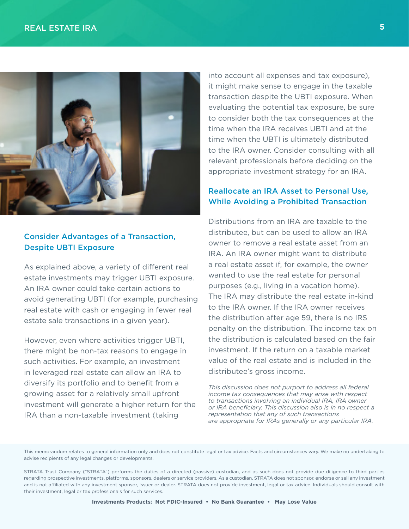

### Consider Advantages of a Transaction, Despite UBTI Exposure

As explained above, a variety of different real estate investments may trigger UBTI exposure. An IRA owner could take certain actions to avoid generating UBTI (for example, purchasing real estate with cash or engaging in fewer real estate sale transactions in a given year).

However, even where activities trigger UBTI, there might be non-tax reasons to engage in such activities. For example, an investment in leveraged real estate can allow an IRA to diversify its portfolio and to benefit from a growing asset for a relatively small upfront investment will generate a higher return for the IRA than a non-taxable investment (taking

into account all expenses and tax exposure), it might make sense to engage in the taxable transaction despite the UBTI exposure. When evaluating the potential tax exposure, be sure to consider both the tax consequences at the time when the IRA receives UBTI and at the time when the UBTI is ultimately distributed to the IRA owner. Consider consulting with all relevant professionals before deciding on the appropriate investment strategy for an IRA.

### Reallocate an IRA Asset to Personal Use, While Avoiding a Prohibited Transaction

Distributions from an IRA are taxable to the distributee, but can be used to allow an IRA owner to remove a real estate asset from an IRA. An IRA owner might want to distribute a real estate asset if, for example, the owner wanted to use the real estate for personal purposes (e.g., living in a vacation home). The IRA may distribute the real estate in-kind to the IRA owner. If the IRA owner receives the distribution after age 59, there is no IRS penalty on the distribution. The income tax on the distribution is calculated based on the fair investment. If the return on a taxable market value of the real estate and is included in the distributee's gross income.

*This discussion does not purport to address all federal income tax consequences that may arise with respect to transactions involving an individual IRA, IRA owner or IRA beneficiary. This discussion also is in no respect a representation that any of such transactions are appropriate for IRAs generally or any particular IRA.*

This memorandum relates to general information only and does not constitute legal or tax advice. Facts and circumstances vary. We make no undertaking to advise recipients of any legal changes or developments.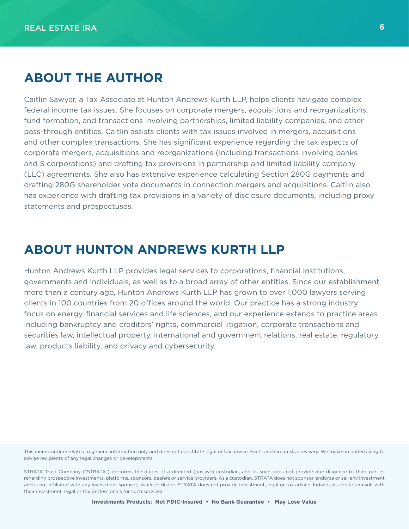## **ABOUT THE AUTHOR**

Caitlin Sawyer, a Tax Associate at Hunton Andrews Kurth LLP, helps clients navigate complex federal income tax issues. She focuses on corporate mergers, acquisitions and reorganizations, fund formation, and transactions involving partnerships, limited liability companies, and other pass-through entities. Caitlin assists clients with tax issues involved in mergers, acquisitions and other complex transactions. She has significant experience regarding the tax aspects of corporate mergers, acquisitions and reorganizations (including transactions involving banks and S corporations) and drafting tax provisions in partnership and limited liability company (LLC) agreements. She also has extensive experience calculating Section 280G payments and drafting 280G shareholder vote documents in connection mergers and acquisitions. Caitlin also has experience with drafting tax provisions in a variety of disclosure documents, including proxy statements and prospectuses.

## **ABOUT HUNTON ANDREWS KURTH LLP**

Hunton Andrews Kurth LLP provides legal services to corporations, financial institutions, governments and individuals, as well as to a broad array of other entities. Since our establishment more than a century ago, Hunton Andrews Kurth LLP has grown to over 1,000 lawyers serving clients in 100 countries from 20 offices around the world. Our practice has a strong industry focus on energy, financial services and life sciences, and our experience extends to practice areas including bankruptcy and creditors' rights, commercial litigation, corporate transactions and securities law, intellectual property, international and government relations, real estate, regulatory law, products liability, and privacy and cybersecurity.

This memorandum relates to general information only and does not constitute legal or tax advice. Facts and circumstances vary. We make no undertaking to advise recipients of any legal changes or developments.